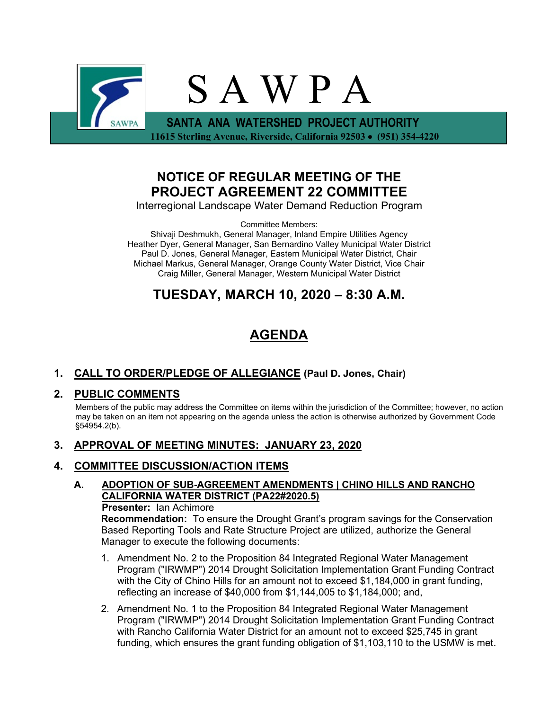

## **NOTICE OF REGULAR MEETING OF THE PROJECT AGREEMENT 22 COMMITTEE**

Interregional Landscape Water Demand Reduction Program

Committee Members:

Shivaji Deshmukh, General Manager, Inland Empire Utilities Agency Heather Dyer, General Manager, San Bernardino Valley Municipal Water District Paul D. Jones, General Manager, Eastern Municipal Water District, Chair Michael Markus, General Manager, Orange County Water District, Vice Chair Craig Miller, General Manager, Western Municipal Water District

# **TUESDAY, MARCH 10, 2020 – 8:30 A.M.**

# **AGENDA**

## **1. CALL TO ORDER/PLEDGE OF ALLEGIANCE (Paul D. Jones, Chair)**

## **2. PUBLIC COMMENTS**

Members of the public may address the Committee on items within the jurisdiction of the Committee; however, no action may be taken on an item not appearing on the agenda unless the action is otherwise authorized by Government Code §54954.2(b).

## **3. APPROVAL OF MEETING MINUTES: JANUARY 23, 2020**

## **4. COMMITTEE DISCUSSION/ACTION ITEMS**

### **A. ADOPTION OF SUB-AGREEMENT AMENDMENTS | CHINO HILLS AND RANCHO CALIFORNIA WATER DISTRICT (PA22#2020.5)**

#### **Presenter:** Ian Achimore

**Recommendation:** To ensure the Drought Grant's program savings for the Conservation Based Reporting Tools and Rate Structure Project are utilized, authorize the General Manager to execute the following documents:

- 1. Amendment No. 2 to the Proposition 84 Integrated Regional Water Management Program ("IRWMP") 2014 Drought Solicitation Implementation Grant Funding Contract with the City of Chino Hills for an amount not to exceed \$1,184,000 in grant funding, reflecting an increase of \$40,000 from \$1,144,005 to \$1,184,000; and,
- 2. Amendment No. 1 to the Proposition 84 Integrated Regional Water Management Program ("IRWMP") 2014 Drought Solicitation Implementation Grant Funding Contract with Rancho California Water District for an amount not to exceed \$25,745 in grant funding, which ensures the grant funding obligation of \$1,103,110 to the USMW is met.